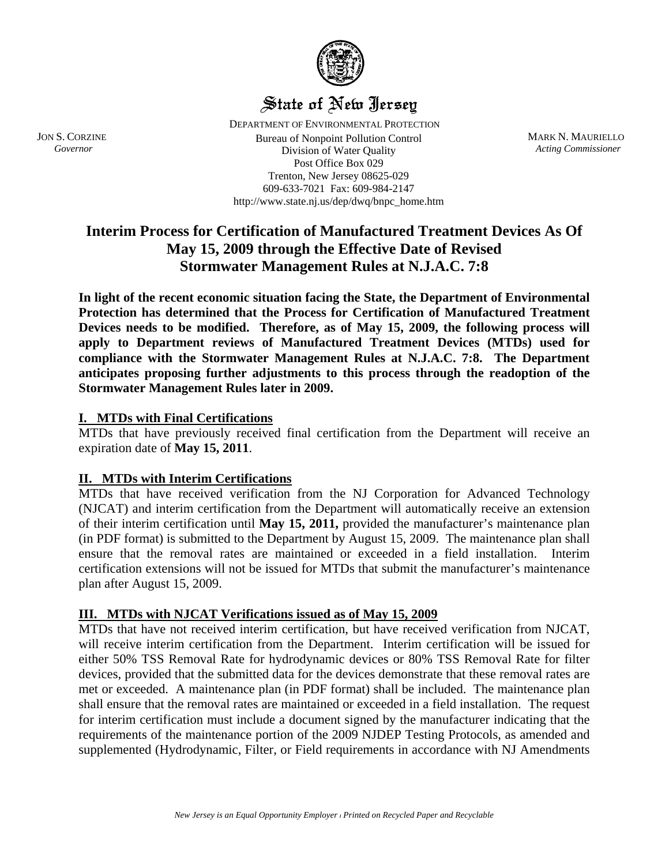

# State of New Jersey

 DEPARTMENT OF ENVIRONMENTAL PROTECTION JON S. CORZINE **Acting Construction** Bureau of Nonpoint Pollution Control **MARK N. MAURIELLO**<br>*Governor Acting Commissioner* **Division of Water Ouality** *Acting Commissioner* Division of Water Quality Post Office Box 029 Trenton, New Jersey 08625-029 609-633-7021 Fax: 609-984-2147 http://www.state.nj.us/dep/dwq/bnpc\_home.htm

## **Interim Process for Certification of Manufactured Treatment Devices As Of May 15, 2009 through the Effective Date of Revised Stormwater Management Rules at N.J.A.C. 7:8**

**In light of the recent economic situation facing the State, the Department of Environmental Protection has determined that the Process for Certification of Manufactured Treatment Devices needs to be modified. Therefore, as of May 15, 2009, the following process will apply to Department reviews of Manufactured Treatment Devices (MTDs) used for compliance with the Stormwater Management Rules at N.J.A.C. 7:8. The Department anticipates proposing further adjustments to this process through the readoption of the Stormwater Management Rules later in 2009.** 

#### **I. MTDs with Final Certifications**

MTDs that have previously received final certification from the Department will receive an expiration date of **May 15, 2011**.

#### **II. MTDs with Interim Certifications**

MTDs that have received verification from the NJ Corporation for Advanced Technology (NJCAT) and interim certification from the Department will automatically receive an extension of their interim certification until **May 15, 2011,** provided the manufacturer's maintenance plan (in PDF format) is submitted to the Department by August 15, 2009. The maintenance plan shall ensure that the removal rates are maintained or exceeded in a field installation. Interim certification extensions will not be issued for MTDs that submit the manufacturer's maintenance plan after August 15, 2009.

#### **III. MTDs with NJCAT Verifications issued as of May 15, 2009**

MTDs that have not received interim certification, but have received verification from NJCAT, will receive interim certification from the Department. Interim certification will be issued for either 50% TSS Removal Rate for hydrodynamic devices or 80% TSS Removal Rate for filter devices, provided that the submitted data for the devices demonstrate that these removal rates are met or exceeded. A maintenance plan (in PDF format) shall be included. The maintenance plan shall ensure that the removal rates are maintained or exceeded in a field installation. The request for interim certification must include a document signed by the manufacturer indicating that the requirements of the maintenance portion of the 2009 NJDEP Testing Protocols, as amended and supplemented (Hydrodynamic, Filter, or Field requirements in accordance with NJ Amendments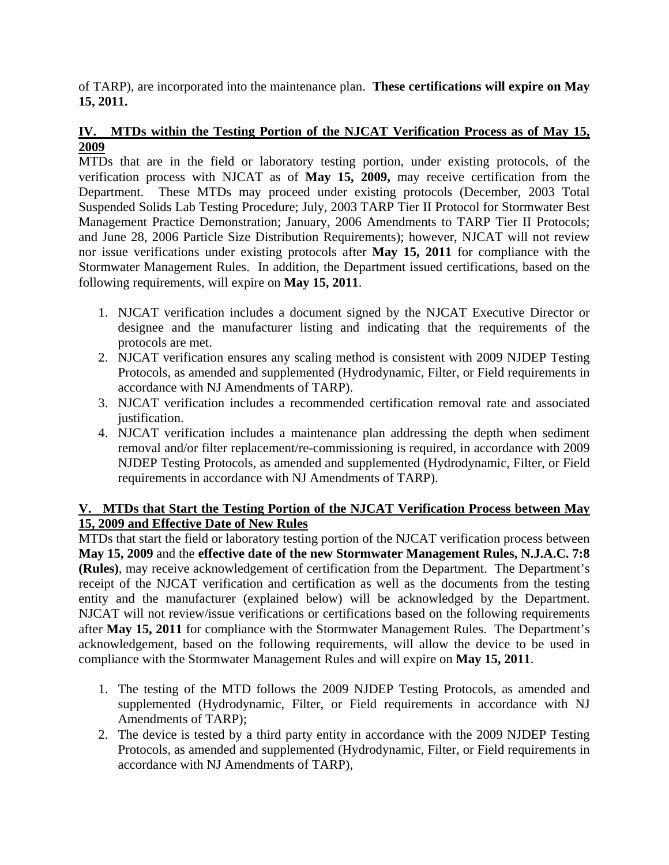of TARP), are incorporated into the maintenance plan. **These certifications will expire on May 15, 2011.** 

#### **IV. MTDs within the Testing Portion of the NJCAT Verification Process as of May 15, 2009**

MTDs that are in the field or laboratory testing portion, under existing protocols, of the verification process with NJCAT as of **May 15, 2009,** may receive certification from the Department. These MTDs may proceed under existing protocols (December, 2003 Total Suspended Solids Lab Testing Procedure; July, 2003 TARP Tier II Protocol for Stormwater Best Management Practice Demonstration; January, 2006 Amendments to TARP Tier II Protocols; and June 28, 2006 Particle Size Distribution Requirements); however, NJCAT will not review nor issue verifications under existing protocols after **May 15, 2011** for compliance with the Stormwater Management Rules. In addition, the Department issued certifications, based on the following requirements, will expire on **May 15, 2011**.

- 1. NJCAT verification includes a document signed by the NJCAT Executive Director or designee and the manufacturer listing and indicating that the requirements of the protocols are met.
- 2. NJCAT verification ensures any scaling method is consistent with 2009 NJDEP Testing Protocols, as amended and supplemented (Hydrodynamic, Filter, or Field requirements in accordance with NJ Amendments of TARP).
- 3. NJCAT verification includes a recommended certification removal rate and associated justification.
- 4. NJCAT verification includes a maintenance plan addressing the depth when sediment removal and/or filter replacement/re-commissioning is required, in accordance with 2009 NJDEP Testing Protocols, as amended and supplemented (Hydrodynamic, Filter, or Field requirements in accordance with NJ Amendments of TARP).

### **V. MTDs that Start the Testing Portion of the NJCAT Verification Process between May 15, 2009 and Effective Date of New Rules**

MTDs that start the field or laboratory testing portion of the NJCAT verification process between **May 15, 2009** and the **effective date of the new Stormwater Management Rules, N.J.A.C. 7:8 (Rules)**, may receive acknowledgement of certification from the Department. The Department's receipt of the NJCAT verification and certification as well as the documents from the testing entity and the manufacturer (explained below) will be acknowledged by the Department. NJCAT will not review/issue verifications or certifications based on the following requirements after **May 15, 2011** for compliance with the Stormwater Management Rules. The Department's acknowledgement, based on the following requirements, will allow the device to be used in compliance with the Stormwater Management Rules and will expire on **May 15, 2011**.

- 1. The testing of the MTD follows the 2009 NJDEP Testing Protocols, as amended and supplemented (Hydrodynamic, Filter, or Field requirements in accordance with NJ Amendments of TARP);
- 2. The device is tested by a third party entity in accordance with the 2009 NJDEP Testing Protocols, as amended and supplemented (Hydrodynamic, Filter, or Field requirements in accordance with NJ Amendments of TARP),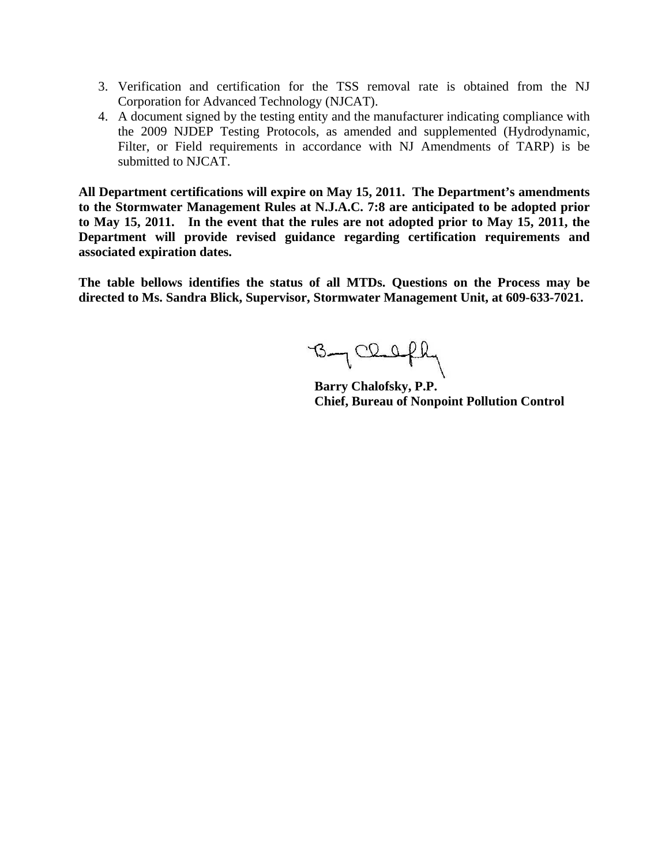- 3. Verification and certification for the TSS removal rate is obtained from the NJ Corporation for Advanced Technology (NJCAT).
- 4. A document signed by the testing entity and the manufacturer indicating compliance with the 2009 NJDEP Testing Protocols, as amended and supplemented (Hydrodynamic, Filter, or Field requirements in accordance with NJ Amendments of TARP) is be submitted to NJCAT.

**All Department certifications will expire on May 15, 2011. The Department's amendments to the Stormwater Management Rules at N.J.A.C. 7:8 are anticipated to be adopted prior to May 15, 2011. In the event that the rules are not adopted prior to May 15, 2011, the Department will provide revised guidance regarding certification requirements and associated expiration dates.** 

**The table bellows identifies the status of all MTDs. Questions on the Process may be directed to Ms. Sandra Blick, Supervisor, Stormwater Management Unit, at 609-633-7021.** 

By Clefhy

**Barry Chalofsky, P.P. Chief, Bureau of Nonpoint Pollution Control**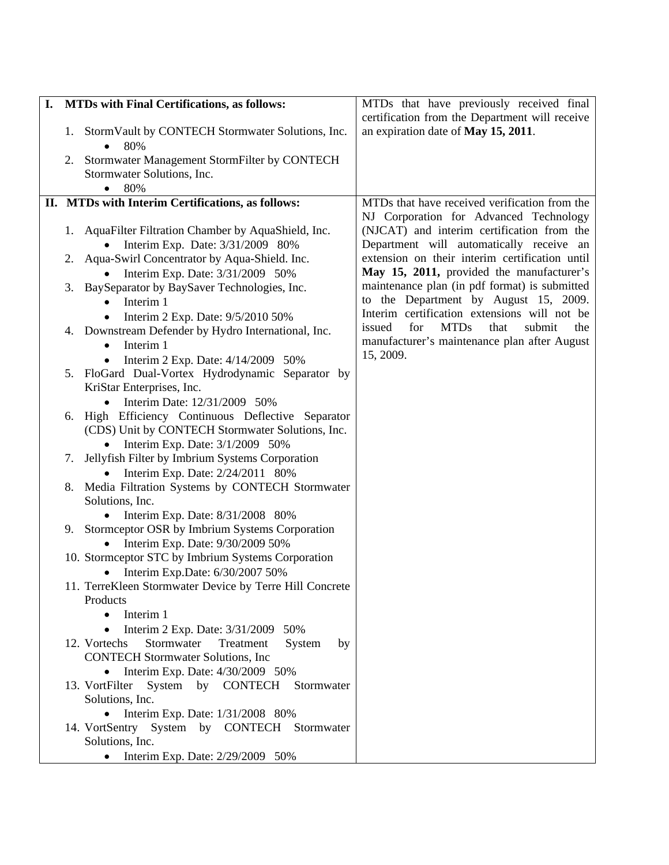| <b>MTDs with Final Certifications, as follows:</b><br>I. |    |                                                                                    | MTDs that have previously received final              |
|----------------------------------------------------------|----|------------------------------------------------------------------------------------|-------------------------------------------------------|
|                                                          |    |                                                                                    | certification from the Department will receive        |
|                                                          | 1. | StormVault by CONTECH Stormwater Solutions, Inc.<br>80%                            | an expiration date of May 15, 2011.                   |
|                                                          | 2. | Stormwater Management StormFilter by CONTECH                                       |                                                       |
|                                                          |    | Stormwater Solutions, Inc.                                                         |                                                       |
|                                                          |    | 80%                                                                                |                                                       |
|                                                          |    | II. MTDs with Interim Certifications, as follows:                                  | MTDs that have received verification from the         |
|                                                          |    |                                                                                    | NJ Corporation for Advanced Technology                |
|                                                          |    | 1. AquaFilter Filtration Chamber by AquaShield, Inc.                               | (NJCAT) and interim certification from the            |
|                                                          |    | Interim Exp. Date: 3/31/2009 80%                                                   | Department will automatically receive an              |
|                                                          | 2. | Aqua-Swirl Concentrator by Aqua-Shield. Inc.                                       | extension on their interim certification until        |
|                                                          |    | Interim Exp. Date: 3/31/2009 50%                                                   | May 15, 2011, provided the manufacturer's             |
|                                                          | 3. | BaySeparator by BaySaver Technologies, Inc.                                        | maintenance plan (in pdf format) is submitted         |
|                                                          |    | Interim 1<br>$\bullet$                                                             | to the Department by August 15, 2009.                 |
|                                                          |    | Interim 2 Exp. Date: 9/5/2010 50%<br>$\bullet$                                     | Interim certification extensions will not be          |
|                                                          |    | 4. Downstream Defender by Hydro International, Inc.                                | issued<br>for<br><b>MTDs</b><br>that<br>submit<br>the |
|                                                          |    | Interim 1                                                                          | manufacturer's maintenance plan after August          |
|                                                          |    | Interim 2 Exp. Date: 4/14/2009 50%<br>$\bullet$                                    | 15, 2009.                                             |
|                                                          | 5. | FloGard Dual-Vortex Hydrodynamic Separator by                                      |                                                       |
|                                                          |    | KriStar Enterprises, Inc.                                                          |                                                       |
|                                                          |    | Interim Date: 12/31/2009 50%<br>$\bullet$                                          |                                                       |
|                                                          | 6. | High Efficiency Continuous Deflective Separator                                    |                                                       |
|                                                          |    | (CDS) Unit by CONTECH Stormwater Solutions, Inc.                                   |                                                       |
|                                                          | 7. | Interim Exp. Date: 3/1/2009 50%<br>Jellyfish Filter by Imbrium Systems Corporation |                                                       |
|                                                          |    | Interim Exp. Date: 2/24/2011 80%<br>$\bullet$                                      |                                                       |
|                                                          | 8. | Media Filtration Systems by CONTECH Stormwater                                     |                                                       |
|                                                          |    | Solutions, Inc.                                                                    |                                                       |
|                                                          |    | Interim Exp. Date: 8/31/2008 80%                                                   |                                                       |
|                                                          |    | 9. Stormceptor OSR by Imbrium Systems Corporation                                  |                                                       |
|                                                          |    | Interim Exp. Date: 9/30/2009 50%                                                   |                                                       |
|                                                          |    | 10. Stormceptor STC by Imbrium Systems Corporation                                 |                                                       |
|                                                          |    | Interim Exp.Date: 6/30/2007 50%<br>$\bullet$                                       |                                                       |
|                                                          |    | 11. TerreKleen Stormwater Device by Terre Hill Concrete                            |                                                       |
|                                                          |    | Products                                                                           |                                                       |
|                                                          |    | Interim 1                                                                          |                                                       |
|                                                          |    | Interim 2 Exp. Date: 3/31/2009<br>50%<br>$\bullet$                                 |                                                       |
|                                                          |    | Stormwater<br>12. Vortechs<br>Treatment<br>System<br>by                            |                                                       |
|                                                          |    | <b>CONTECH Stormwater Solutions, Inc.</b>                                          |                                                       |
|                                                          |    | Interim Exp. Date: 4/30/2009 50%                                                   |                                                       |
|                                                          |    | 13. VortFilter System by CONTECH<br>Stormwater                                     |                                                       |
|                                                          |    | Solutions, Inc.                                                                    |                                                       |
|                                                          |    | • Interim Exp. Date: $1/31/2008$ 80%                                               |                                                       |
|                                                          |    | 14. VortSentry System by CONTECH Stormwater<br>Solutions, Inc.                     |                                                       |
|                                                          |    |                                                                                    |                                                       |
|                                                          |    | Interim Exp. Date: 2/29/2009 50%                                                   |                                                       |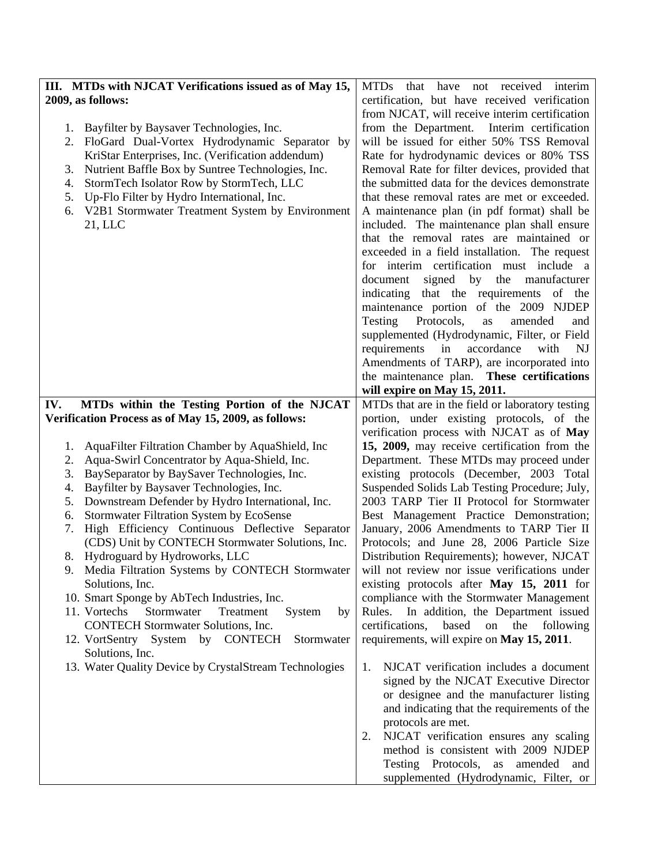| III. MTDs with NJCAT Verifications issued as of May 15, | have<br>that<br><b>MTDs</b><br>not received interim |
|---------------------------------------------------------|-----------------------------------------------------|
| 2009, as follows:                                       | certification, but have received verification       |
|                                                         | from NJCAT, will receive interim certification      |
| Bayfilter by Baysaver Technologies, Inc.<br>1.          | from the Department.<br>Interim certification       |
| FloGard Dual-Vortex Hydrodynamic Separator by<br>2.     | will be issued for either 50% TSS Removal           |
| KriStar Enterprises, Inc. (Verification addendum)       | Rate for hydrodynamic devices or 80% TSS            |
| Nutrient Baffle Box by Suntree Technologies, Inc.<br>3. | Removal Rate for filter devices, provided that      |
| StormTech Isolator Row by StormTech, LLC<br>4.          | the submitted data for the devices demonstrate      |
| Up-Flo Filter by Hydro International, Inc.<br>5.        | that these removal rates are met or exceeded.       |
| V2B1 Stormwater Treatment System by Environment<br>6.   | A maintenance plan (in pdf format) shall be         |
| 21, LLC                                                 | included. The maintenance plan shall ensure         |
|                                                         | that the removal rates are maintained or            |
|                                                         | exceeded in a field installation. The request       |
|                                                         | for interim certification must include a            |
|                                                         | signed by the manufacturer<br>document              |
|                                                         | indicating that the requirements of the             |
|                                                         | maintenance portion of the 2009 NJDEP               |
|                                                         | Protocols,<br>Testing<br>as<br>amended<br>and       |
|                                                         | supplemented (Hydrodynamic, Filter, or Field        |
|                                                         | requirements<br>in<br>accordance<br>with<br>NJ      |
|                                                         | Amendments of TARP), are incorporated into          |
|                                                         | the maintenance plan. These certifications          |
|                                                         | will expire on May 15, 2011.                        |
| MTDs within the Testing Portion of the NJCAT<br>IV.     | MTDs that are in the field or laboratory testing    |
| Verification Process as of May 15, 2009, as follows:    | portion, under existing protocols, of the           |
|                                                         | verification process with NJCAT as of May           |
| AquaFilter Filtration Chamber by AquaShield, Inc<br>1.  | 15, 2009, may receive certification from the        |
| 2.<br>Aqua-Swirl Concentrator by Aqua-Shield, Inc.      | Department. These MTDs may proceed under            |
| 3.<br>BaySeparator by BaySaver Technologies, Inc.       | existing protocols (December, 2003 Total            |
| Bayfilter by Baysaver Technologies, Inc.<br>4.          | Suspended Solids Lab Testing Procedure; July,       |
| Downstream Defender by Hydro International, Inc.<br>5.  | 2003 TARP Tier II Protocol for Stormwater           |
| Stormwater Filtration System by EcoSense<br>6.          | Best Management Practice Demonstration;             |
| High Efficiency Continuous Deflective Separator<br>7.   | January, 2006 Amendments to TARP Tier II            |
| (CDS) Unit by CONTECH Stormwater Solutions, Inc.        | Protocols; and June 28, 2006 Particle Size          |
| Hydroguard by Hydroworks, LLC<br>8.                     | Distribution Requirements); however, NJCAT          |
| 9. Media Filtration Systems by CONTECH Stormwater       | will not review nor issue verifications under       |
| Solutions, Inc.                                         | existing protocols after May 15, 2011 for           |
| 10. Smart Sponge by AbTech Industries, Inc.             | compliance with the Stormwater Management           |
| Stormwater<br>11. Vortechs<br>Treatment<br>System<br>by | Rules.<br>In addition, the Department issued        |
| <b>CONTECH Stormwater Solutions, Inc.</b>               | certifications,<br>based<br>on<br>the<br>following  |
| 12. VortSentry System by CONTECH<br>Stormwater          | requirements, will expire on May 15, 2011.          |
| Solutions, Inc.                                         |                                                     |
| 13. Water Quality Device by CrystalStream Technologies  | NJCAT verification includes a document<br>1.        |
|                                                         | signed by the NJCAT Executive Director              |
|                                                         | or designee and the manufacturer listing            |
|                                                         | and indicating that the requirements of the         |
|                                                         | protocols are met.                                  |
|                                                         | NJCAT verification ensures any scaling<br>2.        |
|                                                         | method is consistent with 2009 NJDEP                |
|                                                         | Testing Protocols,<br>as amended and                |
|                                                         | supplemented (Hydrodynamic, Filter, or              |
|                                                         |                                                     |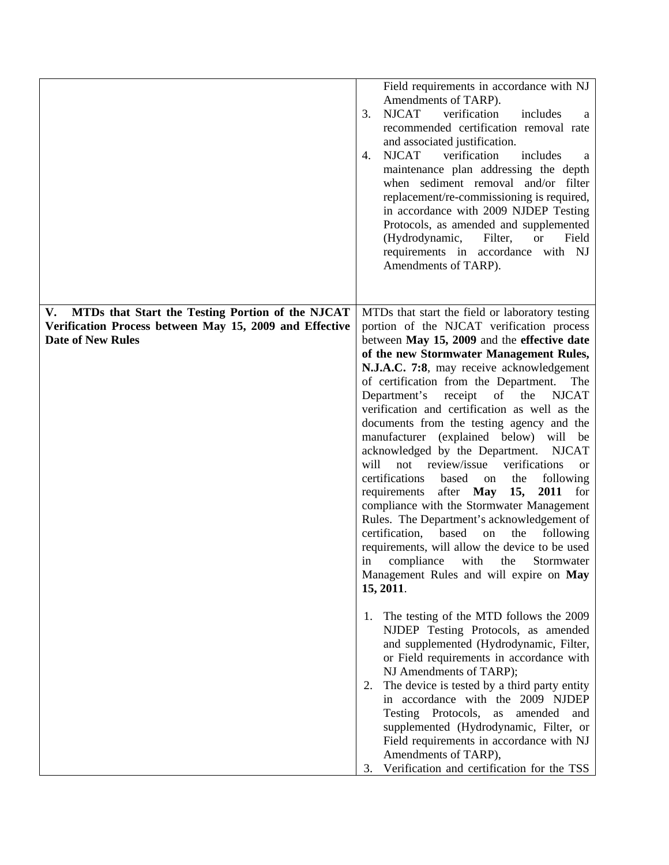|                                                                                                                                               | Field requirements in accordance with NJ<br>Amendments of TARP).<br><b>NJCAT</b><br>verification<br>includes<br>3.<br>a<br>recommended certification removal rate<br>and associated justification.<br><b>NJCAT</b><br>verification<br>includes<br>4.<br>a<br>maintenance plan addressing the depth<br>when sediment removal and/or filter<br>replacement/re-commissioning is required,<br>in accordance with 2009 NJDEP Testing<br>Protocols, as amended and supplemented<br>(Hydrodynamic,<br>Filter,<br><b>or</b><br>Field<br>requirements in accordance with NJ<br>Amendments of TARP).                                                                                                                                                                                                                                                                                                                                                                                                                                                                                                                                                                                                                                                                                                                       |
|-----------------------------------------------------------------------------------------------------------------------------------------------|------------------------------------------------------------------------------------------------------------------------------------------------------------------------------------------------------------------------------------------------------------------------------------------------------------------------------------------------------------------------------------------------------------------------------------------------------------------------------------------------------------------------------------------------------------------------------------------------------------------------------------------------------------------------------------------------------------------------------------------------------------------------------------------------------------------------------------------------------------------------------------------------------------------------------------------------------------------------------------------------------------------------------------------------------------------------------------------------------------------------------------------------------------------------------------------------------------------------------------------------------------------------------------------------------------------|
| MTDs that Start the Testing Portion of the NJCAT<br>V.<br>Verification Process between May 15, 2009 and Effective<br><b>Date of New Rules</b> | MTDs that start the field or laboratory testing<br>portion of the NJCAT verification process<br>between May 15, 2009 and the effective date<br>of the new Stormwater Management Rules,<br>N.J.A.C. 7:8, may receive acknowledgement<br>of certification from the Department.<br>The<br>receipt of the<br><b>NJCAT</b><br>Department's<br>verification and certification as well as the<br>documents from the testing agency and the<br>manufacturer (explained below) will be<br>acknowledged by the Department.<br><b>NJCAT</b><br>not review/issue<br>verifications<br>will<br><b>or</b><br>certifications<br>based<br>the<br>following<br>on<br>requirements<br>after <b>May</b><br>15,<br>2011<br>for<br>compliance with the Stormwater Management<br>Rules. The Department's acknowledgement of<br>certification,<br>based<br>the<br>following<br>on<br>requirements, will allow the device to be used<br>in compliance<br>with the Stormwater<br>Management Rules and will expire on May<br>15, 2011.<br>The testing of the MTD follows the 2009<br>1.<br>NJDEP Testing Protocols, as amended<br>and supplemented (Hydrodynamic, Filter,<br>or Field requirements in accordance with<br>NJ Amendments of TARP);<br>The device is tested by a third party entity<br>2.<br>in accordance with the 2009 NJDEP |
|                                                                                                                                               | Testing Protocols,<br>amended<br>as<br>and<br>supplemented (Hydrodynamic, Filter, or<br>Field requirements in accordance with NJ<br>Amendments of TARP),<br>Verification and certification for the TSS<br>3.                                                                                                                                                                                                                                                                                                                                                                                                                                                                                                                                                                                                                                                                                                                                                                                                                                                                                                                                                                                                                                                                                                     |